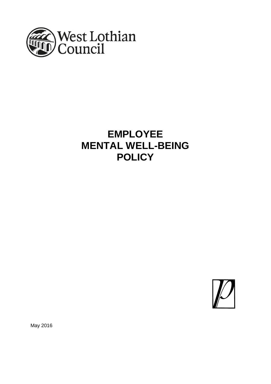

# **EMPLOYEE MENTAL WELL-BEING POLICY**



May 2016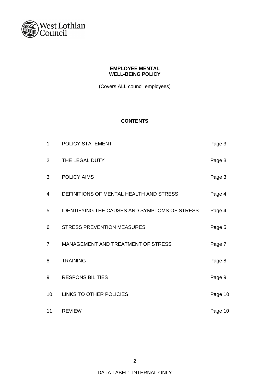

# **EMPLOYEE MENTAL WELL-BEING POLICY**

(Covers ALL council employees)

# **CONTENTS**

| 1.  | POLICY STATEMENT                              | Page 3  |
|-----|-----------------------------------------------|---------|
| 2.  | THE LEGAL DUTY                                | Page 3  |
| 3.  | POLICY AIMS                                   | Page 3  |
| 4.  | DEFINITIONS OF MENTAL HEALTH AND STRESS       | Page 4  |
| 5.  | IDENTIFYING THE CAUSES AND SYMPTOMS OF STRESS | Page 4  |
| 6.  | <b>STRESS PREVENTION MEASURES</b>             | Page 5  |
| 7.  | MANAGEMENT AND TREATMENT OF STRESS            | Page 7  |
| 8.  | <b>TRAINING</b>                               | Page 8  |
| 9.  | <b>RESPONSIBILITIES</b>                       | Page 9  |
| 10. | <b>LINKS TO OTHER POLICIES</b>                | Page 10 |
| 11. | <b>REVIEW</b>                                 | Page 10 |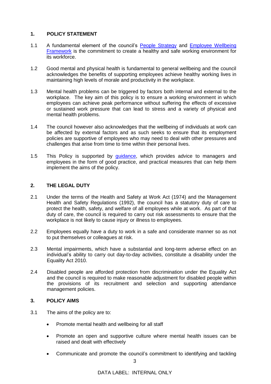# **1. POLICY STATEMENT**

- 1.1 A fundamental element of the council's [People Strategy](https://www.westlothian.gov.uk/media/21228/People-Strategy-2018-23/pdf/PeopleStrategy1823.pdf) and [Employee Wellbeing](https://www.westlothian.gov.uk/media/6255/Employee-Health-And-Wellbeing-Framework/pdf/EmployeeWellbeingFramework2018-08-31.pdf)  [Framework](https://www.westlothian.gov.uk/media/6255/Employee-Health-And-Wellbeing-Framework/pdf/EmployeeWellbeingFramework2018-08-31.pdf) is the commitment to create a healthy and safe working environment for its workforce.
- 1.2 Good mental and physical health is fundamental to general wellbeing and the council acknowledges the benefits of supporting employees achieve healthy working lives in maintaining high levels of morale and productivity in the workplace.
- 1.3 Mental health problems can be triggered by factors both internal and external to the workplace. The key aim of this policy is to ensure a working environment in which employees can achieve peak performance without suffering the effects of excessive or sustained work pressure that can lead to stress and a variety of physical and mental health problems.
- 1.4 The council however also acknowledges that the wellbeing of individuals at work can be affected by external factors and as such seeks to ensure that its employment policies are supportive of employees who may need to deal with other pressures and challenges that arise from time to time within their personal lives.
- 1.5 This Policy is supported by **guidance**, which provides advice to managers and employees in the form of good practice, and practical measures that can help them implement the aims of the policy.

# **2. THE LEGAL DUTY**

- 2.1 Under the terms of the Health and Safety at Work Act (1974) and the Management Health and Safety Regulations (1992), the council has a statutory duty of care to protect the health, safety, and welfare of all employees while at work. As part of that duty of care, the council is required to carry out risk assessments to ensure that the workplace is not likely to cause injury or illness to employees.
- 2.2 Employees equally have a duty to work in a safe and considerate manner so as not to put themselves or colleagues at risk.
- 2.3 Mental impairments, which have a substantial and long-term adverse effect on an individual's ability to carry out day-to-day activities, constitute a disability under the Equality Act 2010.
- 2.4 Disabled people are afforded protection from discrimination under the Equality Act and the council is required to make reasonable adjustment for disabled people within the provisions of its recruitment and selection and supporting attendance management policies.

#### **3. POLICY AIMS**

- 3.1 The aims of the policy are to:
	- Promote mental health and wellbeing for all staff
	- Promote an open and supportive culture where mental health issues can be raised and dealt with effectively
	- Communicate and promote the council's commitment to identifying and tackling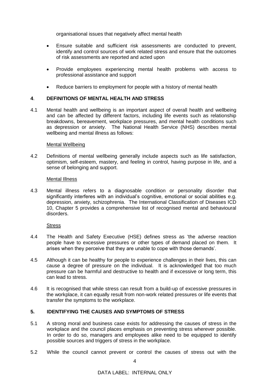organisational issues that negatively affect mental health

- Ensure suitable and sufficient risk assessments are conducted to prevent, identify and control sources of work related stress and ensure that the outcomes of risk assessments are reported and acted upon
- Provide employees experiencing mental health problems with access to professional assistance and support
- Reduce barriers to employment for people with a history of mental health

## **4**. **DEFINITIONS OF MENTAL HEALTH AND STRESS**

4.1 Mental health and wellbeing is an important aspect of overall health and wellbeing and can be affected by different factors, including life events such as relationship breakdowns, bereavement, workplace pressures, and mental health conditions such as depression or anxiety. The National Health Service (NHS) describes mental wellbeing and mental illness as follows:

#### Mental Wellbeing

4.2 Definitions of mental wellbeing generally include aspects such as life satisfaction, optimism, self-esteem, mastery, and feeling in control, having purpose in life, and a sense of belonging and support.

#### Mental Illness

4.3 Mental illness refers to a diagnosable condition or personality disorder that significantly interferes with an individual's cognitive, emotional or social abilities e.g. depression, anxiety, schizophrenia. The International Classification of Diseases ICD 10, Chapter 5 provides a comprehensive list of recognised mental and behavioural disorders.

#### **Stress**

- 4.4 The Health and Safety Executive (HSE) defines stress as 'the adverse reaction people have to excessive pressures or other types of demand placed on them. It arises when they perceive that they are unable to cope with those demands'.
- 4.5 Although it can be healthy for people to experience challenges in their lives, this can cause a degree of pressure on the individual. It is acknowledged that too much pressure can be harmful and destructive to health and if excessive or long term, this can lead to stress.
- 4.6 It is recognised that while stress can result from a build-up of excessive pressures in the workplace, it can equally result from non-work related pressures or life events that transfer the symptoms to the workplace.

# **5. IDENTIFYING THE CAUSES AND SYMPTOMS OF STRESS**

- 5.1 A strong moral and business case exists for addressing the causes of stress in the workplace and the council places emphasis on preventing stress wherever possible. In order to do so, managers and employees alike need to be equipped to identify possible sources and triggers of stress in the workplace.
- 5.2 While the council cannot prevent or control the causes of stress out with the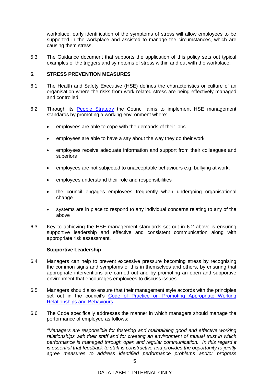workplace, early identification of the symptoms of stress will allow employees to be supported in the workplace and assisted to manage the circumstances, which are causing them stress.

5.3 The Guidance document that supports the application of this policy sets out typical examples of the triggers and symptoms of stress within and out with the workplace.

#### **6. STRESS PREVENTION MEASURES**

- 6.1 The Health and Safety Executive (HSE) defines the characteristics or culture of an organisation where the risks from work-related stress are being effectively managed and controlled.
- 6.2 Through its [People Strategy](https://www.westlothian.gov.uk/media/21228/People-Strategy-2018-23/pdf/PeopleStrategy1823.pdf) the Council aims to implement HSE management standards by promoting a working environment where:
	- employees are able to cope with the demands of their jobs
	- employees are able to have a say about the way they do their work
	- employees receive adequate information and support from their colleagues and superiors
	- employees are not subjected to unacceptable behaviours e.g. bullying at work;
	- employees understand their role and responsibilities
	- the council engages employees frequently when undergoing organisational change
	- systems are in place to respond to any individual concerns relating to any of the above
- 6.3 Key to achieving the HSE management standards set out in 6.2 above is ensuring supportive leadership and effective and consistent communication along with appropriate risk assessment.

#### **Supportive Leadership**

- 6.4 Managers can help to prevent excessive pressure becoming stress by recognising the common signs and symptoms of this in themselves and others, by ensuring that appropriate interventions are carried out and by promoting an open and supportive environment that encourages employees to discuss issues.
- 6.5 Managers should also ensure that their management style accords with the principles set out in the council's [Code of Practice on Promoting Appropriate Working](https://www.westlothian.gov.uk/media/1551/Promoting-Appropriate-Working---Relationship-and-Behaviour/pdf/BullyingAndHarassmentCodeOfPractice-3August2016.pdf)  [Relationships and Behaviours.](https://www.westlothian.gov.uk/media/1551/Promoting-Appropriate-Working---Relationship-and-Behaviour/pdf/BullyingAndHarassmentCodeOfPractice-3August2016.pdf)
- 6.6 The Code specifically addresses the manner in which managers should manage the performance of employee as follows:

*"Managers are responsible for fostering and maintaining good and effective working relationships with their staff and for creating an environment of mutual trust in which performance is managed through open and regular communication. In this regard it is essential that feedback to staff is constructive and provides the opportunity to jointly agree measures to address identified performance problems and/or progress*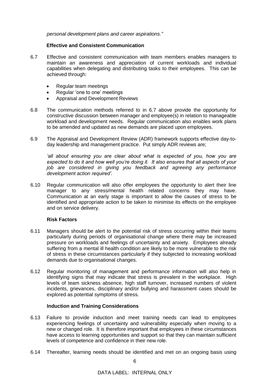*personal development plans and career aspirations."*

#### **Effective and Consistent Communication**

- 6.7 Effective and consistent communication with team members enables managers to maintain an awareness and appreciation of current workloads and individual capabilities when delegating and distributing tasks to their employees. This can be achieved through:
	- Regular team meetings
	- Regular 'one to one' meetings
	- Appraisal and Development Reviews
- 6.8 The communication methods referred to in 6.7 above provide the opportunity for constructive discussion between manager and employee(s) in relation to manageable workload and development needs. Regular communication also enables work plans to be amended and updated as new demands are placed upon employees.
- 6.9 The Appraisal and Development Review (ADR) framework supports effective day-today leadership and management practice. Put simply ADR reviews are;

*'all about ensuring you are clear about what is expected of you, how you are expected to do it and how well you're doing it. It also ensures that all aspects of your job are considered in giving you feedback and agreeing any performance development action required'.* 

6.10 Regular communication will also offer employees the opportunity to alert their line manager to any stress/mental health related concerns they may have. Communication at an early stage is important to allow the causes of stress to be identified and appropriate action to be taken to minimise its effects on the employee and on service delivery.

#### **Risk Factors**

- 6.11 Managers should be alert to the potential risk of stress occurring within their teams particularly during periods of organisational change where there may be increased pressure on workloads and feelings of uncertainty and anxiety. Employees already suffering from a mental ill health condition are likely to be more vulnerable to the risk of stress in these circumstances particularly if they subjected to increasing workload demands due to organisational changes.
- 6.12 Regular monitoring of management and performance information will also help in identifying signs that may indicate that stress is prevalent in the workplace. High levels of team sickness absence, high staff turnover, increased numbers of violent incidents, grievances, disciplinary and/or bullying and harassment cases should be explored as potential symptoms of stress.

#### **Induction and Training Considerations**

- 6.13 Failure to provide induction and meet training needs can lead to employees experiencing feelings of uncertainty and vulnerability especially when moving to a new or changed role. It is therefore important that employees in these circumstances have access to learning opportunities and support so that they can maintain sufficient levels of competence and confidence in their new role.
- 6.14 Thereafter, learning needs should be identified and met on an ongoing basis using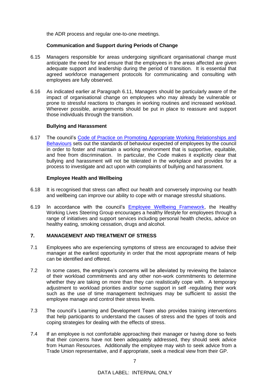the ADR process and regular one-to-one meetings.

## **Communication and Support during Periods of Change**

- 6.15 Managers responsible for areas undergoing significant organisational change must anticipate the need for and ensure that the employees in the areas affected are given adequate support and leadership during the period of transition. It is essential that agreed workforce management protocols for communicating and consulting with employees are fully observed.
- 6.16 As indicated earlier at Paragraph 6.11, Managers should be particularly aware of the impact of organisational change on employees who may already be vulnerable or prone to stressful reactions to changes in working routines and increased workload. Wherever possible, arrangements should be put in place to reassure and support those individuals through the transition.

## **Bullying and Harassment**

6.17 The council's [Code of Practice on Promoting Appropriate Working Relationships and](https://www.westlothian.gov.uk/media/1551/Promoting-Appropriate-Working---Relationship-and-Behaviour/pdf/BullyingAndHarassmentCodeOfPractice-3August2016.pdf)  [Behaviours](https://www.westlothian.gov.uk/media/1551/Promoting-Appropriate-Working---Relationship-and-Behaviour/pdf/BullyingAndHarassmentCodeOfPractice-3August2016.pdf) sets out the standards of behaviour expected of employees by the council in order to foster and maintain a working environment that is supportive, equitable, and free from discrimination. In particular, the Code makes it explicitly clear that bullying and harassment will not be tolerated in the workplace and provides for a process to investigate and act upon with complaints of bullying and harassment.

## **Employee Health and Wellbeing**

- 6.18 It is recognised that stress can affect our health and conversely improving our health and wellbeing can improve our ability to cope with or manage stressful situations.
- 6.19 In accordance with the council's [Employee Wellbeing Framework,](https://www.westlothian.gov.uk/media/6255/Employee-Health-And-Wellbeing-Framework/pdf/EmployeeWellbeingFramework2018-08-31.pdf) the Healthy Working Lives Steering Group encourages a healthy lifestyle for employees through a range of initiatives and support services including personal health checks, advice on healthy eating, smoking cessation, drugs and alcohol.

# **7. MANAGEMENT AND TREATMENT OF STRESS**

- 7.1 Employees who are experiencing symptoms of stress are encouraged to advise their manager at the earliest opportunity in order that the most appropriate means of help can be identified and offered.
- 7.2 In some cases, the employee's concerns will be alleviated by reviewing the balance of their workload commitments and any other non-work commitments to determine whether they are taking on more than they can realistically cope with. A temporary adjustment to workload priorities and/or some support in self -regulating their work such as the use of time management techniques may be sufficient to assist the employee manage and control their stress levels.
- 7.3 The council's Learning and Development Team also provides training interventions that help participants to understand the causes of stress and the types of tools and coping strategies for dealing with the effects of stress.
- 7.4 If an employee is not comfortable approaching their manager or having done so feels that their concerns have not been adequately addressed, they should seek advice from Human Resources. Additionally the employee may wish to seek advice from a Trade Union representative, and if appropriate, seek a medical view from their GP.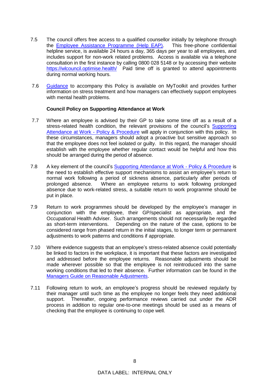- 7.5 The council offers free access to a qualified counsellor initially by telephone through the [Employee Assistance Programme \(Help EAP\).](https://www.westlothian.gov.uk/media/29433/Help-EAP-Brief/pdf/Help_EAP_Service.pdf?m=637140762273330000) This free-phone confidential helpline service, is available 24 hours a day, 365 days per year to all employees, and includes support for non-work related problems. Access is available via a telephone consultation in the first instance by calling 0800 028 5148 or by accessing their website <https://wlcouncil.optimise.health/>Paid time off is granted to attend appointments during normal working hours.
- 7.6 [Guidance](https://www.westlothian.gov.uk/media/6255/Employee-Health-And-Wellbeing-Framework/pdf/EmployeeWellbeingFramework2018-08-31.pdf) to accompany this Policy is available on MyToolkit and provides further information on stress treatment and how managers can effectively support employees with mental health problems.

#### **Council Policy on Supporting Attendance at Work**

- 7.7 Where an employee is advised by their GP to take some time off as a result of a stress-related health condition, the relevant provisions of the council's Supporting [Attendance at Work -](https://www.westlothian.gov.uk/media/27029/Supporting-Attendance-at-Work-Policy--Procedure/pdf/Supporting_Attendance_at_Work_Policy___Procedure2.pdf) Policy & Procedure will apply in conjunction with this policy. In these circumstances, managers should adopt a proactive but sensitive approach so that the employee does not feel isolated or guilty. In this regard, the manager should establish with the employee whether regular contact would be helpful and how this should be arranged during the period of absence.
- 7.8 A key element of the council's [Supporting Attendance at Work -](https://www.westlothian.gov.uk/media/27029/Supporting-Attendance-at-Work-Policy--Procedure/pdf/Supporting_Attendance_at_Work_Policy___Procedure2.pdf) Policy & Procedure is the need to establish effective support mechanisms to assist an employee's return to normal work following a period of sickness absence, particularly after periods of prolonged absence. Where an employee returns to work following prolonged absence due to work-related stress, a suitable return to work programme should be put in place.
- 7.9 Return to work programmes should be developed by the employee's manager in conjunction with the employee, their GP/specialist as appropriate, and the Occupational Health Adviser. Such arrangements should not necessarily be regarded as short-term interventions. Depending on the nature of the case, options to be considered range from phased return in the initial stages, to longer term or permanent adjustments to work patterns and conditions if appropriate.
- 7.10 Where evidence suggests that an employee's stress-related absence could potentially be linked to factors in the workplace, it is important that these factors are investigated and addressed before the employee returns. Reasonable adjustments should be made wherever possible so that the employee is not reintroduced into the same working conditions that led to their absence. Further information can be found in the [Managers Guide on Reasonable Adjustments.](https://www.westlothian.gov.uk/media/13795/Management-Guidance---Reasonable-Adjustments/pdf/Management_Guidance_Reasonable_Adjustments.pdf)
- 7.11 Following return to work, an employee's progress should be reviewed regularly by their manager until such time as the employee no longer feels they need additional support. Thereafter, ongoing performance reviews carried out under the ADR process in addition to regular one-to-one meetings should be used as a means of checking that the employee is continuing to cope well.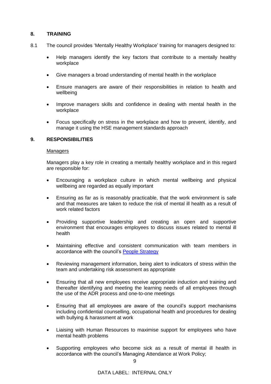## **8. TRAINING**

- 8.1 The council provides 'Mentally Healthy Workplace' training for managers designed to:
	- Help managers identify the key factors that contribute to a mentally healthy workplace
	- Give managers a broad understanding of mental health in the workplace
	- Ensure managers are aware of their responsibilities in relation to health and wellbeing
	- Improve managers skills and confidence in dealing with mental health in the workplace
	- Focus specifically on stress in the workplace and how to prevent, identify, and manage it using the HSE management standards approach

## **9. RESPONSIBILITIES**

#### Managers

Managers play a key role in creating a mentally healthy workplace and in this regard are responsible for:

- Encouraging a workplace culture in which mental wellbeing and physical wellbeing are regarded as equally important
- Ensuring as far as is reasonably practicable, that the work environment is safe and that measures are taken to reduce the risk of mental ill health as a result of work related factors
- Providing supportive leadership and creating an open and supportive environment that encourages employees to discuss issues related to mental ill health
- Maintaining effective and consistent communication with team members in accordance with the council's [People Strategy](https://www.westlothian.gov.uk/media/21228/People-Strategy-2018-23/pdf/PeopleStrategy1823.pdf)
- Reviewing management information, being alert to indicators of stress within the team and undertaking risk assessment as appropriate
- Ensuring that all new employees receive appropriate induction and training and thereafter identifying and meeting the learning needs of all employees through the use of the ADR process and one-to-one meetings
- Ensuring that all employees are aware of the council's support mechanisms including confidential counselling, occupational health and procedures for dealing with bullying & harassment at work
- Liaising with Human Resources to maximise support for employees who have mental health problems
- Supporting employees who become sick as a result of mental ill health in accordance with the council's Managing Attendance at Work Policy;